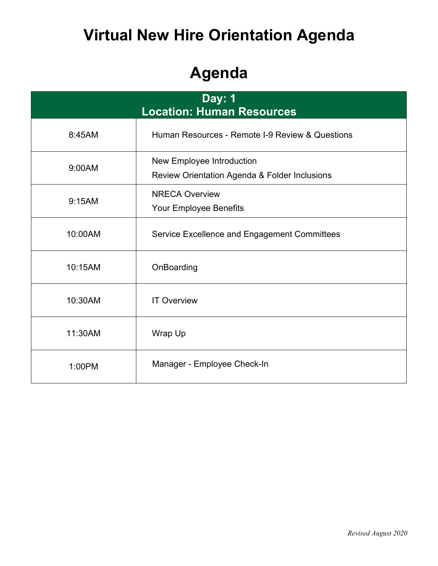# **Virtual New Hire Orientation Agenda**

# **Agenda**

| <b>Day: 1</b><br><b>Location: Human Resources</b> |                                                                            |  |  |  |
|---------------------------------------------------|----------------------------------------------------------------------------|--|--|--|
| 8:45AM                                            | Human Resources - Remote I-9 Review & Questions                            |  |  |  |
| 9:00AM                                            | New Employee Introduction<br>Review Orientation Agenda & Folder Inclusions |  |  |  |
| 9:15AM                                            | <b>NRECA Overview</b><br>Your Employee Benefits                            |  |  |  |
| 10:00AM                                           | Service Excellence and Engagement Committees                               |  |  |  |
| 10:15AM                                           | OnBoarding                                                                 |  |  |  |
| 10:30AM                                           | <b>IT Overview</b>                                                         |  |  |  |
| 11:30AM                                           | Wrap Up                                                                    |  |  |  |
| 1:00PM                                            | Manager - Employee Check-In                                                |  |  |  |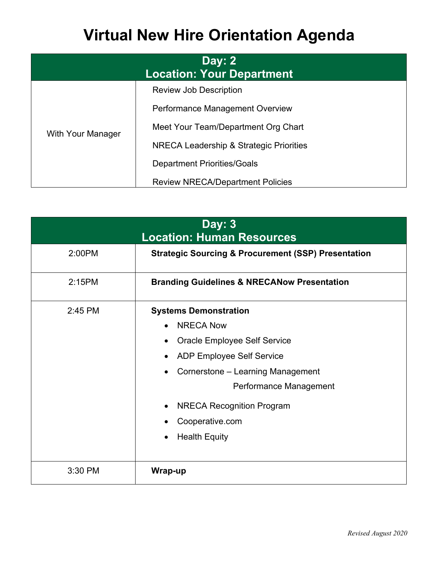# **Virtual New Hire Orientation Agenda**

| Day: $2$<br><b>Location: Your Department</b> |                                         |  |  |  |
|----------------------------------------------|-----------------------------------------|--|--|--|
| With Your Manager                            | <b>Review Job Description</b>           |  |  |  |
|                                              | Performance Management Overview         |  |  |  |
|                                              | Meet Your Team/Department Org Chart     |  |  |  |
|                                              | NRECA Leadership & Strategic Priorities |  |  |  |
|                                              | <b>Department Priorities/Goals</b>      |  |  |  |
|                                              | <b>Review NRECA/Department Policies</b> |  |  |  |

| <b>Day: 3</b><br><b>Location: Human Resources</b> |                                                                                                                                                                                                                                                                    |  |  |  |
|---------------------------------------------------|--------------------------------------------------------------------------------------------------------------------------------------------------------------------------------------------------------------------------------------------------------------------|--|--|--|
| 2:00PM                                            | <b>Strategic Sourcing &amp; Procurement (SSP) Presentation</b>                                                                                                                                                                                                     |  |  |  |
| 2:15PM                                            | <b>Branding Guidelines &amp; NRECANow Presentation</b>                                                                                                                                                                                                             |  |  |  |
| 2:45 PM                                           | <b>Systems Demonstration</b><br><b>NRECA Now</b><br>Oracle Employee Self Service<br><b>ADP Employee Self Service</b><br>Cornerstone - Learning Management<br>Performance Management<br><b>NRECA Recognition Program</b><br>Cooperative.com<br><b>Health Equity</b> |  |  |  |
| 3:30 PM                                           | Wrap-up                                                                                                                                                                                                                                                            |  |  |  |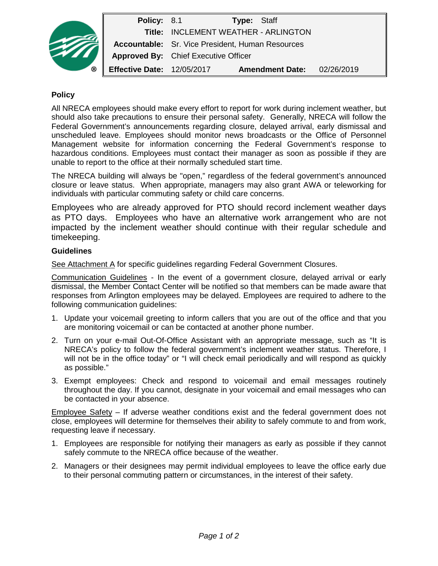| ® | Policy: 8.1                       |                                                         | <b>Type: Staff</b>     |            |
|---|-----------------------------------|---------------------------------------------------------|------------------------|------------|
|   |                                   | Title: INCLEMENT WEATHER - ARLINGTON                    |                        |            |
|   |                                   | <b>Accountable:</b> Sr. Vice President, Human Resources |                        |            |
|   |                                   | <b>Approved By:</b> Chief Executive Officer             |                        |            |
|   | <b>Effective Date: 12/05/2017</b> |                                                         | <b>Amendment Date:</b> | 02/26/2019 |

### **Policy**

All NRECA employees should make every effort to report for work during inclement weather, but should also take precautions to ensure their personal safety. Generally, NRECA will follow the Federal Government's announcements regarding closure, delayed arrival, early dismissal and unscheduled leave. Employees should monitor news broadcasts or the Office of Personnel Management website for information concerning the Federal Government's response to hazardous conditions. Employees must contact their manager as soon as possible if they are unable to report to the office at their normally scheduled start time.

The NRECA building will always be "open," regardless of the federal government's announced closure or leave status. When appropriate, managers may also grant AWA or teleworking for individuals with particular commuting safety or child care concerns.

Employees who are already approved for PTO should record inclement weather days as PTO days. Employees who have an alternative work arrangement who are not impacted by the inclement weather should continue with their regular schedule and timekeeping.

### **Guidelines**

See Attachment A for specific guidelines regarding Federal Government Closures.

Communication Guidelines - In the event of a government closure, delayed arrival or early dismissal, the Member Contact Center will be notified so that members can be made aware that responses from Arlington employees may be delayed. Employees are required to adhere to the following communication guidelines:

- 1. Update your voicemail greeting to inform callers that you are out of the office and that you are monitoring voicemail or can be contacted at another phone number.
- 2. Turn on your e-mail Out-Of-Office Assistant with an appropriate message, such as "It is NRECA's policy to follow the federal government's inclement weather status. Therefore, I will not be in the office today" or "I will check email periodically and will respond as quickly as possible."
- 3. Exempt employees: Check and respond to voicemail and email messages routinely throughout the day. If you cannot, designate in your voicemail and email messages who can be contacted in your absence.

Employee Safety – If adverse weather conditions exist and the federal government does not close, employees will determine for themselves their ability to safely commute to and from work, requesting leave if necessary.

- 1. Employees are responsible for notifying their managers as early as possible if they cannot safely commute to the NRECA office because of the weather.
- 2. Managers or their designees may permit individual employees to leave the office early due to their personal commuting pattern or circumstances, in the interest of their safety.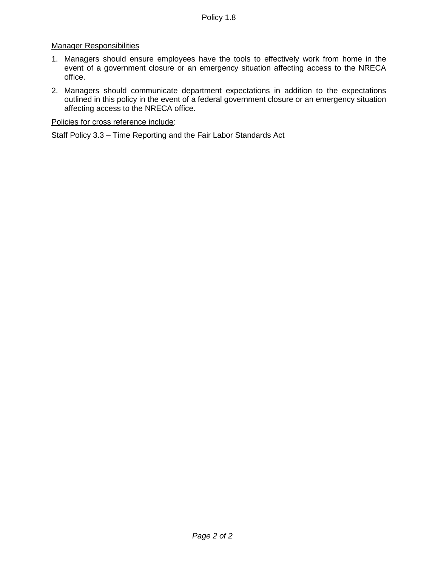### Manager Responsibilities

- 1. Managers should ensure employees have the tools to effectively work from home in the event of a government closure or an emergency situation affecting access to the NRECA office.
- 2. Managers should communicate department expectations in addition to the expectations outlined in this policy in the event of a federal government closure or an emergency situation affecting access to the NRECA office.

#### Policies for cross reference include:

Staff Policy 3.3 – Time Reporting and the Fair Labor Standards Act